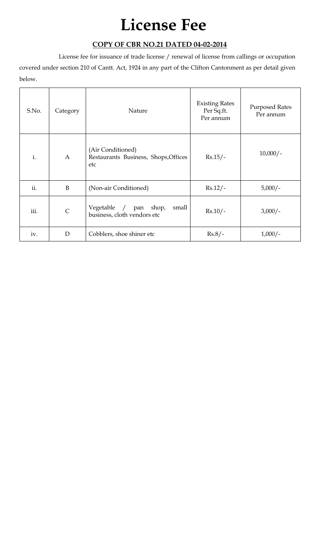## **License Fee**

## **COPY OF CBR NO.21 DATED 04-02-2014**

License fee for issuance of trade license / renewal of license from callings or occupation

covered under section 210 of Cantt. Act, 1924 in any part of the Clifton Cantonment as per detail given below.

| S.No. | Category       | Nature                                                           | <b>Existing Rates</b><br>Per Sq.ft.<br>Per annum | <b>Purposed Rates</b><br>Per annum |
|-------|----------------|------------------------------------------------------------------|--------------------------------------------------|------------------------------------|
| i.    | $\overline{A}$ | (Air Conditioned)<br>Restaurants Business, Shops, Offices<br>etc | $Rs.15/-$                                        | $10,000/-$                         |
| ii.   | B              | (Non-air Conditioned)                                            | $Rs.12/-$                                        | $5,000/-$                          |
| iii.  | $\mathsf{C}$   | Vegetable / pan shop,<br>small<br>business, cloth vendors etc    | $Rs.10/-$                                        | $3,000/-$                          |
| iv.   | D              | Cobblers, shoe shiner etc                                        | $Rs.8/-$                                         | $1,000/-$                          |